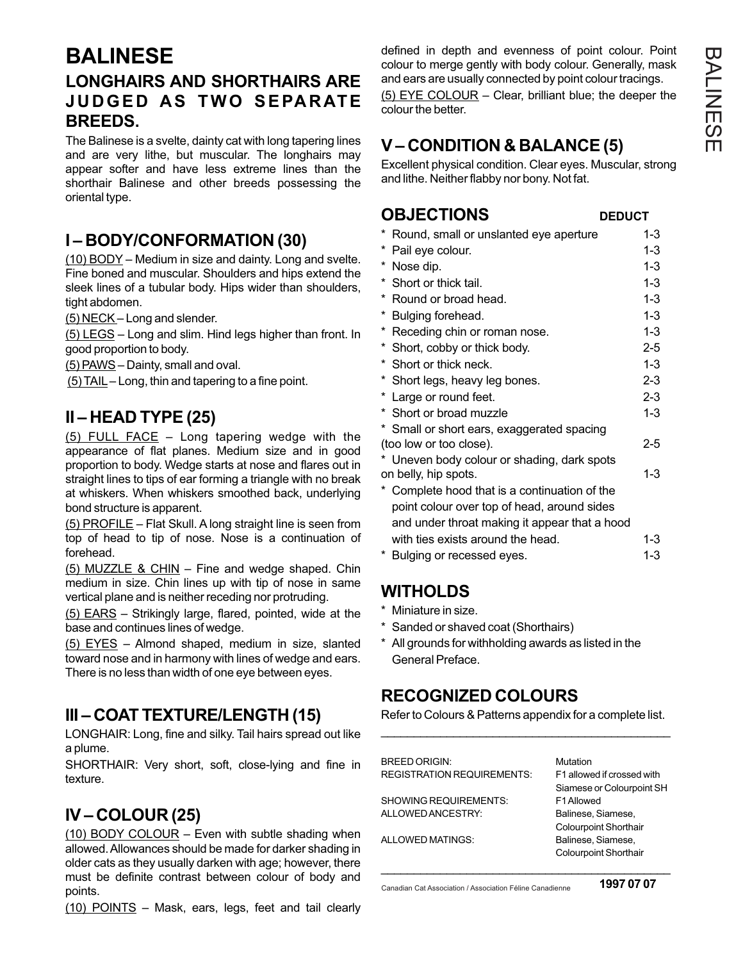# **BALINESE LONGHAIRS AND SHORTHAIRS ARE JUDGED AS TWO SEPARATE BREEDS.**

The Balinese is a svelte, dainty cat with long tapering lines and are very lithe, but muscular. The longhairs may appear softer and have less extreme lines than the shorthair Balinese and other breeds possessing the oriental type.

## **I – BODY/CONFORMATION (30)**

(10) BODY – Medium in size and dainty. Long and svelte. Fine boned and muscular. Shoulders and hips extend the sleek lines of a tubular body. Hips wider than shoulders, tight abdomen.

(5) NECK – Long and slender.

(5) LEGS – Long and slim. Hind legs higher than front. In good proportion to body.

(5) PAWS – Dainty, small and oval.

 $(5)$  TAIL – Long, thin and tapering to a fine point.

## **II – HEAD TYPE (25)**

(5) FULL FACE – Long tapering wedge with the appearance of flat planes. Medium size and in good proportion to body. Wedge starts at nose and flares out in straight lines to tips of ear forming a triangle with no break at whiskers. When whiskers smoothed back, underlying bond structure is apparent.

(5) PROFILE – Flat Skull. A long straight line is seen from top of head to tip of nose. Nose is a continuation of forehead.

(5) MUZZLE & CHIN – Fine and wedge shaped. Chin medium in size. Chin lines up with tip of nose in same vertical plane and is neither receding nor protruding.

(5) EARS – Strikingly large, flared, pointed, wide at the base and continues lines of wedge.

(5) EYES – Almond shaped, medium in size, slanted toward nose and in harmony with lines of wedge and ears. There is no less than width of one eye between eyes.

# **III – COAT TEXTURE/LENGTH (15)**

LONGHAIR: Long, fine and silky. Tail hairs spread out like a plume.

SHORTHAIR: Very short, soft, close-lying and fine in texture.

# **IV – COLOUR (25)**

(10) BODY COLOUR – Even with subtle shading when allowed. Allowances should be made for darker shading in older cats as they usually darken with age; however, there must be definite contrast between colour of body and points.

```
(10) POINTS – Mask, ears, legs, feet and tail clearly
```
defined in depth and evenness of point colour. Point colour to merge gently with body colour. Generally, mask and ears are usually connected by point colour tracings. (5) EYE COLOUR – Clear, brilliant blue; the deeper the colour the better.

# **V – CONDITION & BALANCE (5)**

Excellent physical condition. Clear eyes. Muscular, strong and lithe. Neither flabby nor bony. Not fat.

### **OBJECTIONS** DEDUCT

|                      | * Round, small or unslanted eye aperture                              | $1 - 3$ |
|----------------------|-----------------------------------------------------------------------|---------|
|                      | * Pail eye colour.                                                    | $1 - 3$ |
|                      | * Nose dip.                                                           | $1 - 3$ |
|                      | * Short or thick tail.                                                | $1 - 3$ |
|                      | * Round or broad head.                                                | $1 - 3$ |
|                      | * Bulging forehead.                                                   | $1 - 3$ |
|                      | * Receding chin or roman nose.                                        | $1 - 3$ |
|                      | * Short, cobby or thick body.                                         | $2 - 5$ |
|                      | * Short or thick neck.                                                | $1 - 3$ |
|                      | * Short legs, heavy leg bones.                                        | $2 - 3$ |
|                      | * Large or round feet.                                                | $2 - 3$ |
|                      | * Short or broad muzzle                                               | $1 - 3$ |
|                      | * Small or short ears, exaggerated spacing<br>(too low or too close). | 2-5     |
|                      | * Uneven body colour or shading, dark spots                           |         |
| on belly, hip spots. |                                                                       |         |
| *                    | Complete hood that is a continuation of the                           |         |
|                      | point colour over top of head, around sides                           |         |
|                      | and under throat making it appear that a hood                         |         |
|                      | with ties exists around the head.                                     | $1 - 3$ |
|                      | * Bulging or recessed eyes.                                           | $1 - 3$ |

## **WITHOLDS**

- \* Miniature in size.
- \* Sanded or shaved coat (Shorthairs)
- \* All grounds for withholding awards as listed in the General Preface.

## **RECOGNIZED COLOURS**

Refer to Colours & Patterns appendix for a complete list. \_\_\_\_\_\_\_\_\_\_\_\_\_\_\_\_\_\_\_\_\_\_\_\_\_\_\_\_\_\_\_\_\_\_\_\_\_\_\_\_\_\_\_\_

| <b>BREED ORIGIN:</b>              | Mutation                     |
|-----------------------------------|------------------------------|
| <b>REGISTRATION REQUIREMENTS:</b> | F1 allowed if crossed with   |
|                                   | Siamese or Colourpoint SH    |
| SHOWING REQUIREMENTS:             | F1 Allowed                   |
| ALLOWED ANCESTRY:                 | Balinese, Siamese,           |
|                                   | <b>Colourpoint Shorthair</b> |
| ALLOWED MATINGS:                  | Balinese, Siamese,           |
|                                   | <b>Colourpoint Shorthair</b> |
|                                   |                              |

Canadian Cat Association / Association Féline Canadienne

**1997 07 07**